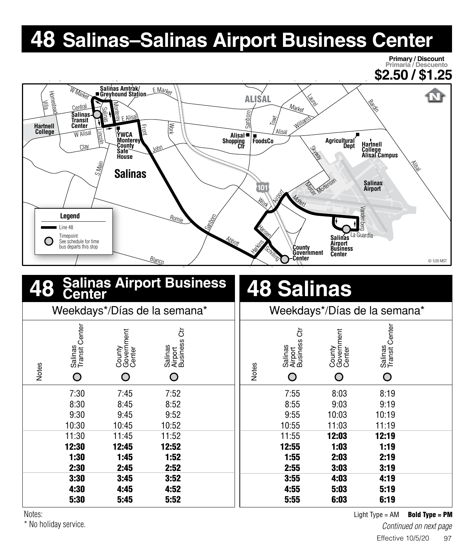## **48 Salinas–Salinas Airport Business Center**

**Primary / Discount Primaria / Descuento \$2.50 / \$1.25** W Marke **Salinas Amtrak/** <u>E Marke</u>r **Greyhound Station**  $\mathbf N$ will<br>The Milla<br>Person ALISAL Laurel Bardin  $M_{\text{d}t\text{k}}$ Monterey Centra Salinas **Salinas** Sanborn E Alisal Towt Williams **Transit Center Hartnell College** Work Front Lincoln Alisal **W** Alisal **Alisal YWCA Monterey FoodsCo Agricultural Dept Shopping Ctr Hartnell County** Cla John Strage **Safe College Alisal Campus House** Alisal S Main **Salinas Mercentemsen Salinas Salinas Airport** Airport Motio Work **Legend** Sanborn Romie Line 48 Hansen La Guardia Timepoint **Salinas** Abb<sub>ott</sub> See schedule for time Harking Chilling **Airport Business** bus departs this stop **County Government Center Center** <u>Blanco</u> © 1/20 MST **48 48 Salinas Salinas Airport Business Center** Weekdays\*/Días de la semana\* | Weekdays\*/Días de la semana\* Salinas<br>Transit Center Salinas<br>Transit Center Transit Center Transit Center Business Ctr ් Business Ctr **Government** Government Salinas Airport Salinas Airport County Center County Center Notes Notes  $\bigcirc$  $\bigcirc$ O O  $\bigcirc$  $\bigcirc$ 7:30 7:45 7:52 7:55 8:03 8:19 8:30 8:45 8:52 8:55 9:03 9:19 9:30 9:45 9:52 9:55 10:03 10:19 10:30 10:45 10:52 10:55 11:03 11:19 11:30 11:45 11:52 11:55 12:03 12:19 12:30 12:45 12:52 12:55 1:03 1:19 1:30 1:45 1:52 1:55 2:03 2:19 2:30 2:45 2:52 2:55 3:03 3:19

Notes:

\* No holiday service.

3:30 3:45 3:52 4:30 4:45 4:52 5:30 5:45 5:52

Light  $Type = AM$  Bold Type = PM

3:55 4:03 4:19 4:55 5:03 5:19 5:55 6:03 6:19

*Continued on next page*